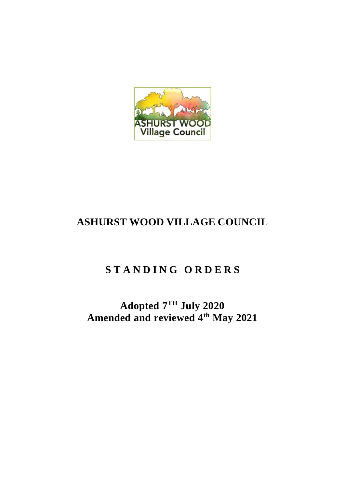

# **ASHURST WOOD VILLAGE COUNCIL**

# **S T A N D I N G O R D E R S**

# **Adopted 7 TH July 2020 Amended and reviewed 4th May 2021**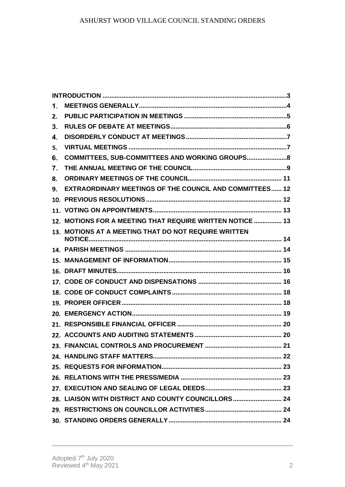| 1. |                                                                |  |
|----|----------------------------------------------------------------|--|
| 2. |                                                                |  |
| 3. |                                                                |  |
| 4. |                                                                |  |
| 5. |                                                                |  |
| 6. | COMMITTEES, SUB-COMMITTEES AND WORKING GROUPS 8                |  |
| 7. |                                                                |  |
| 8. |                                                                |  |
| 9. | <b>EXTRAORDINARY MEETINGS OF THE COUNCIL AND COMMITTEES 12</b> |  |
|    |                                                                |  |
|    |                                                                |  |
|    | 12. MOTIONS FOR A MEETING THAT REQUIRE WRITTEN NOTICE  13      |  |
|    | 13. MOTIONS AT A MEETING THAT DO NOT REQUIRE WRITTEN           |  |
|    |                                                                |  |
|    |                                                                |  |
|    |                                                                |  |
|    |                                                                |  |
|    |                                                                |  |
|    |                                                                |  |
|    |                                                                |  |
|    |                                                                |  |
|    |                                                                |  |
|    |                                                                |  |
|    |                                                                |  |
|    |                                                                |  |
|    |                                                                |  |
|    |                                                                |  |
|    | 28. LIAISON WITH DISTRICT AND COUNTY COUNCILLORS 24            |  |
|    |                                                                |  |
|    |                                                                |  |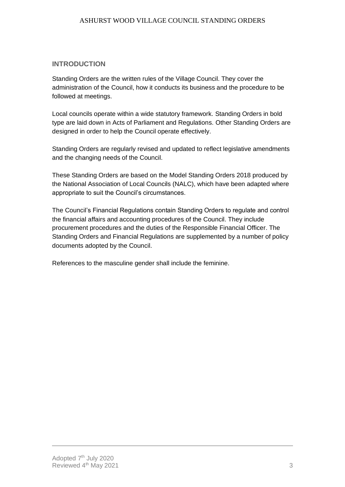# <span id="page-2-0"></span>**INTRODUCTION**

Standing Orders are the written rules of the Village Council. They cover the administration of the Council, how it conducts its business and the procedure to be followed at meetings.

Local councils operate within a wide statutory framework. Standing Orders in bold type are laid down in Acts of Parliament and Regulations. Other Standing Orders are designed in order to help the Council operate effectively.

Standing Orders are regularly revised and updated to reflect legislative amendments and the changing needs of the Council.

These Standing Orders are based on the Model Standing Orders 2018 produced by the National Association of Local Councils (NALC), which have been adapted where appropriate to suit the Council's circumstances.

The Council's Financial Regulations contain Standing Orders to regulate and control the financial affairs and accounting procedures of the Council. They include procurement procedures and the duties of the Responsible Financial Officer. The Standing Orders and Financial Regulations are supplemented by a number of policy documents adopted by the Council.

References to the masculine gender shall include the feminine.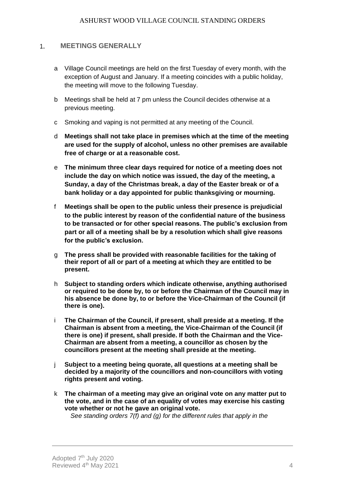#### <span id="page-3-0"></span>**MEETINGS GENERALLY**  $1.$

- a Village Council meetings are held on the first Tuesday of every month, with the exception of August and January. If a meeting coincides with a public holiday, the meeting will move to the following Tuesday.
- b Meetings shall be held at 7 pm unless the Council decides otherwise at a previous meeting.
- c Smoking and vaping is not permitted at any meeting of the Council.
- d **Meetings shall not take place in premises which at the time of the meeting are used for the supply of alcohol, unless no other premises are available free of charge or at a reasonable cost.**
- e **The minimum three clear days required for notice of a meeting does not include the day on which notice was issued, the day of the meeting, a Sunday, a day of the Christmas break, a day of the Easter break or of a bank holiday or a day appointed for public thanksgiving or mourning.**
- f **Meetings shall be open to the public unless their presence is prejudicial to the public interest by reason of the confidential nature of the business to be transacted or for other special reasons. The public's exclusion from part or all of a meeting shall be by a resolution which shall give reasons for the public's exclusion.**
- g **The press shall be provided with reasonable facilities for the taking of their report of all or part of a meeting at which they are entitled to be present.**
- h **Subject to standing orders which indicate otherwise, anything authorised or required to be done by, to or before the Chairman of the Council may in his absence be done by, to or before the Vice-Chairman of the Council (if there is one).**
- i **The Chairman of the Council, if present, shall preside at a meeting. If the Chairman is absent from a meeting, the Vice-Chairman of the Council (if there is one) if present, shall preside. If both the Chairman and the Vice-Chairman are absent from a meeting, a councillor as chosen by the councillors present at the meeting shall preside at the meeting.**
- j **Subject to a meeting being quorate, all questions at a meeting shall be decided by a majority of the councillors and non-councillors with voting rights present and voting.**
- k **The chairman of a meeting may give an original vote on any matter put to the vote, and in the case of an equality of votes may exercise his casting vote whether or not he gave an original vote.**

*See standing orders 7(f) and (g) for the different rules that apply in the*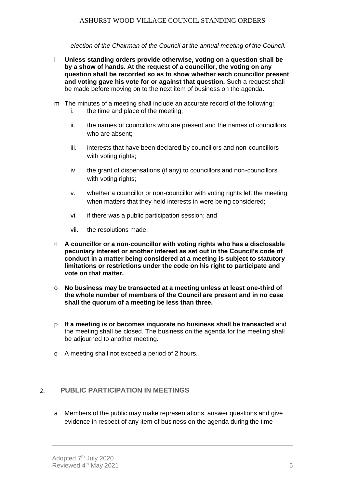*election of the Chairman of the Council at the annual meeting of the Council.*

- l **Unless standing orders provide otherwise, voting on a question shall be by a show of hands. At the request of a councillor, the voting on any question shall be recorded so as to show whether each councillor present and voting gave his vote for or against that question.** Such a request shall be made before moving on to the next item of business on the agenda.
- m The minutes of a meeting shall include an accurate record of the following:
	- i. the time and place of the meeting;
	- ii. the names of councillors who are present and the names of councillors who are absent;
	- iii. interests that have been declared by councillors and non-councillors with voting rights:
	- iv. the grant of dispensations (if any) to councillors and non-councillors with voting rights:
	- v. whether a councillor or non-councillor with voting rights left the meeting when matters that they held interests in were being considered;
	- vi. if there was a public participation session; and
	- vii. the resolutions made.
- n **A councillor or a non-councillor with voting rights who has a disclosable pecuniary interest or another interest as set out in the Council's code of conduct in a matter being considered at a meeting is subject to statutory limitations or restrictions under the code on his right to participate and vote on that matter.**
- o **No business may be transacted at a meeting unless at least one-third of the whole number of members of the Council are present and in no case shall the quorum of a meeting be less than three.**
- p **If a meeting is or becomes inquorate no business shall be transacted** and the meeting shall be closed. The business on the agenda for the meeting shall be adjourned to another meeting.
- q A meeting shall not exceed a period of 2 hours.

#### <span id="page-4-0"></span>**PUBLIC PARTICIPATION IN MEETINGS**  $2.$

a Members of the public may make representations, answer questions and give evidence in respect of any item of business on the agenda during the time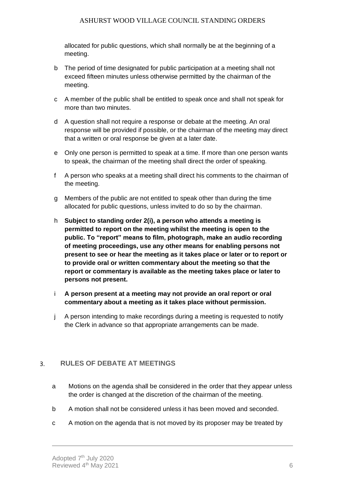allocated for public questions, which shall normally be at the beginning of a meeting.

- b The period of time designated for public participation at a meeting shall not exceed fifteen minutes unless otherwise permitted by the chairman of the meeting.
- c A member of the public shall be entitled to speak once and shall not speak for more than two minutes.
- d A question shall not require a response or debate at the meeting. An oral response will be provided if possible, or the chairman of the meeting may direct that a written or oral response be given at a later date.
- e Only one person is permitted to speak at a time. If more than one person wants to speak, the chairman of the meeting shall direct the order of speaking.
- f A person who speaks at a meeting shall direct his comments to the chairman of the meeting.
- g Members of the public are not entitled to speak other than during the time allocated for public questions, unless invited to do so by the chairman.
- h **Subject to standing order 2(i), a person who attends a meeting is permitted to report on the meeting whilst the meeting is open to the public. To "report" means to film, photograph, make an audio recording of meeting proceedings, use any other means for enabling persons not present to see or hear the meeting as it takes place or later or to report or to provide oral or written commentary about the meeting so that the report or commentary is available as the meeting takes place or later to persons not present.**
- i **A person present at a meeting may not provide an oral report or oral commentary about a meeting as it takes place without permission.**
- j A person intending to make recordings during a meeting is requested to notify the Clerk in advance so that appropriate arrangements can be made.

#### <span id="page-5-0"></span>**RULES OF DEBATE AT MEETINGS**  $3.$

- a Motions on the agenda shall be considered in the order that they appear unless the order is changed at the discretion of the chairman of the meeting.
- b A motion shall not be considered unless it has been moved and seconded.
- c A motion on the agenda that is not moved by its proposer may be treated by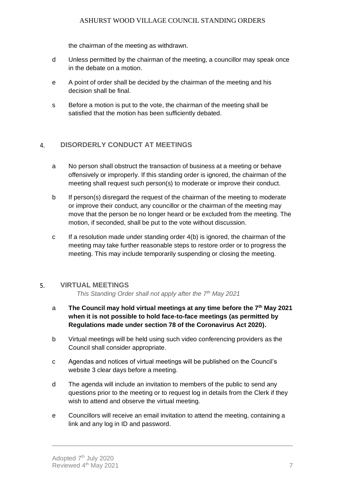the chairman of the meeting as withdrawn.

- d Unless permitted by the chairman of the meeting, a councillor may speak once in the debate on a motion.
- e A point of order shall be decided by the chairman of the meeting and his decision shall be final.
- s Before a motion is put to the vote, the chairman of the meeting shall be satisfied that the motion has been sufficiently debated.

#### <span id="page-6-0"></span>**DISORDERLY CONDUCT AT MEETINGS**  $\overline{4}$

- a No person shall obstruct the transaction of business at a meeting or behave offensively or improperly. If this standing order is ignored, the chairman of the meeting shall request such person(s) to moderate or improve their conduct.
- b If person(s) disregard the request of the chairman of the meeting to moderate or improve their conduct, any councillor or the chairman of the meeting may move that the person be no longer heard or be excluded from the meeting. The motion, if seconded, shall be put to the vote without discussion.
- c If a resolution made under standing order 4(b) is ignored, the chairman of the meeting may take further reasonable steps to restore order or to progress the meeting. This may include temporarily suspending or closing the meeting.

#### <span id="page-6-1"></span>5. **VIRTUAL MEETINGS**

*This Standing Order shall not apply after the 7th May 2021*

- a **The Council may hold virtual meetings at any time before the 7th May 2021 when it is not possible to hold face-to-face meetings (as permitted by Regulations made under section 78 of the Coronavirus Act 2020).**
- b Virtual meetings will be held using such video conferencing providers as the Council shall consider appropriate.
- c Agendas and notices of virtual meetings will be published on the Council's website 3 clear days before a meeting.
- d The agenda will include an invitation to members of the public to send any questions prior to the meeting or to request log in details from the Clerk if they wish to attend and observe the virtual meeting.
- e Councillors will receive an email invitation to attend the meeting, containing a link and any log in ID and password.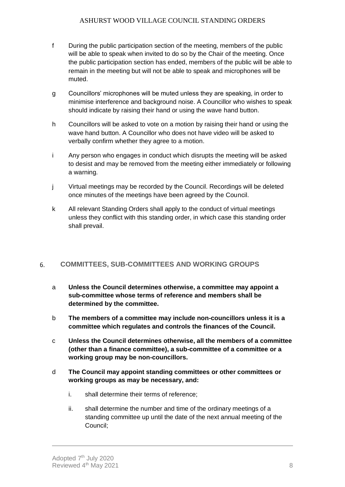- f During the public participation section of the meeting, members of the public will be able to speak when invited to do so by the Chair of the meeting. Once the public participation section has ended, members of the public will be able to remain in the meeting but will not be able to speak and microphones will be muted.
- g Councillors' microphones will be muted unless they are speaking, in order to minimise interference and background noise. A Councillor who wishes to speak should indicate by raising their hand or using the wave hand button.
- h Councillors will be asked to vote on a motion by raising their hand or using the wave hand button. A Councillor who does not have video will be asked to verbally confirm whether they agree to a motion.
- i Any person who engages in conduct which disrupts the meeting will be asked to desist and may be removed from the meeting either immediately or following a warning.
- j Virtual meetings may be recorded by the Council. Recordings will be deleted once minutes of the meetings have been agreed by the Council.
- k All relevant Standing Orders shall apply to the conduct of virtual meetings unless they conflict with this standing order, in which case this standing order shall prevail.

#### <span id="page-7-0"></span>**COMMITTEES, SUB-COMMITTEES AND WORKING GROUPS** 6.

- a **Unless the Council determines otherwise, a committee may appoint a sub-committee whose terms of reference and members shall be determined by the committee.**
- b **The members of a committee may include non-councillors unless it is a committee which regulates and controls the finances of the Council.**
- c **Unless the Council determines otherwise, all the members of a committee (other than a finance committee), a sub-committee of a committee or a working group may be non-councillors.**
- d **The Council may appoint standing committees or other committees or working groups as may be necessary, and:**
	- i. shall determine their terms of reference;
	- ii. shall determine the number and time of the ordinary meetings of a standing committee up until the date of the next annual meeting of the Council;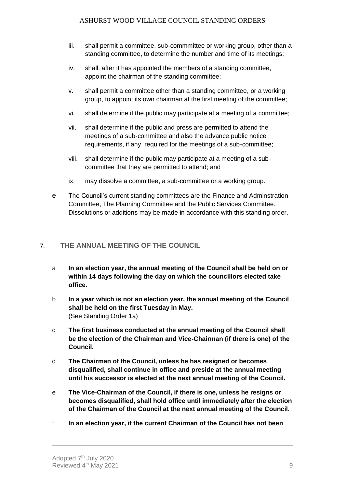- iii. shall permit a committee, sub-commmittee or working group, other than a standing committee, to determine the number and time of its meetings;
- iv. shall, after it has appointed the members of a standing committee, appoint the chairman of the standing committee;
- v. shall permit a committee other than a standing committee, or a working group, to appoint its own chairman at the first meeting of the committee;
- vi. shall determine if the public may participate at a meeting of a committee;
- vii. shall determine if the public and press are permitted to attend the meetings of a sub-committee and also the advance public notice requirements, if any, required for the meetings of a sub-committee;
- viii. shall determine if the public may participate at a meeting of a subcommittee that they are permitted to attend; and
- ix. may dissolve a committee, a sub-committee or a working group.
- e The Council's current standing committees are the Finance and Adminstration Committee, The Planning Committee and the Public Services Committee. Dissolutions or additions may be made in accordance with this standing order.

#### <span id="page-8-0"></span>**THE ANNUAL MEETING OF THE COUNCIL**   $7<sub>1</sub>$

- a **In an election year, the annual meeting of the Council shall be held on or within 14 days following the day on which the councillors elected take office.**
- b **In a year which is not an election year, the annual meeting of the Council shall be held on the first Tuesday in May.** (See Standing Order 1a)
- c **The first business conducted at the annual meeting of the Council shall be the election of the Chairman and Vice-Chairman (if there is one) of the Council.**
- d **The Chairman of the Council, unless he has resigned or becomes disqualified, shall continue in office and preside at the annual meeting until his successor is elected at the next annual meeting of the Council.**
- e **The Vice-Chairman of the Council, if there is one, unless he resigns or becomes disqualified, shall hold office until immediately after the election of the Chairman of the Council at the next annual meeting of the Council.**
- f **In an election year, if the current Chairman of the Council has not been**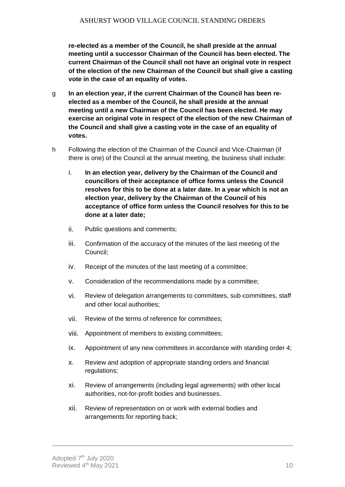**re-elected as a member of the Council, he shall preside at the annual meeting until a successor Chairman of the Council has been elected. The current Chairman of the Council shall not have an original vote in respect of the election of the new Chairman of the Council but shall give a casting vote in the case of an equality of votes.**

- g **In an election year, if the current Chairman of the Council has been reelected as a member of the Council, he shall preside at the annual meeting until a new Chairman of the Council has been elected. He may exercise an original vote in respect of the election of the new Chairman of the Council and shall give a casting vote in the case of an equality of votes.**
- h Following the election of the Chairman of the Council and Vice-Chairman (if there is one) of the Council at the annual meeting, the business shall include:
	- i. **In an election year, delivery by the Chairman of the Council and councillors of their acceptance of office forms unless the Council resolves for this to be done at a later date. In a year which is not an election year, delivery by the Chairman of the Council of his acceptance of office form unless the Council resolves for this to be done at a later date;**
	- ii. Public questions and comments;
	- iii. Confirmation of the accuracy of the minutes of the last meeting of the Council;
	- iv. Receipt of the minutes of the last meeting of a committee;
	- v. Consideration of the recommendations made by a committee;
	- vi. Review of delegation arrangements to committees, sub-committees, staff and other local authorities;
	- vii. Review of the terms of reference for committees;
	- viii. Appointment of members to existing committees;
	- ix. Appointment of any new committees in accordance with standing order 4;
	- x. Review and adoption of appropriate standing orders and financial regulations;
	- xi. Review of arrangements (including legal agreements) with other local authorities, not-for-profit bodies and businesses.
	- xii. Review of representation on or work with external bodies and arrangements for reporting back;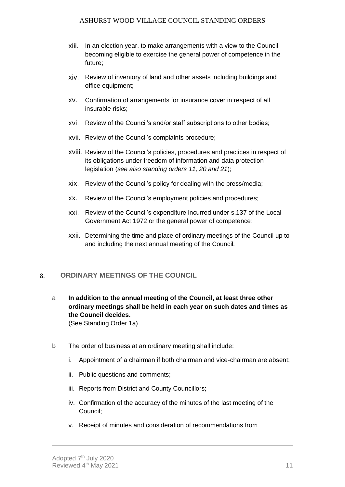- xiii. In an election year, to make arrangements with a view to the Council becoming eligible to exercise the general power of competence in the future;
- xiv. Review of inventory of land and other assets including buildings and office equipment;
- xv. Confirmation of arrangements for insurance cover in respect of all insurable risks;
- xvi. Review of the Council's and/or staff subscriptions to other bodies;
- xvii. Review of the Council's complaints procedure;
- xviii. Review of the Council's policies, procedures and practices in respect of its obligations under freedom of information and data protection legislation (*see also standing orders 11, 20 and 21*);
- xix. Review of the Council's policy for dealing with the press/media;
- xx. Review of the Council's employment policies and procedures;
- xxi. Review of the Council's expenditure incurred under s.137 of the Local Government Act 1972 or the general power of competence;
- xxii. Determining the time and place of ordinary meetings of the Council up to and including the next annual meeting of the Council.

#### <span id="page-10-0"></span>**ORDINARY MEETINGS OF THE COUNCIL** 8.

a **In addition to the annual meeting of the Council, at least three other ordinary meetings shall be held in each year on such dates and times as the Council decides.**

(See Standing Order 1a)

- b The order of business at an ordinary meeting shall include:
	- i. Appointment of a chairman if both chairman and vice-chairman are absent;
	- ii. Public questions and comments;
	- iii. Reports from District and County Councillors;
	- iv. Confirmation of the accuracy of the minutes of the last meeting of the Council;
	- v. Receipt of minutes and consideration of recommendations from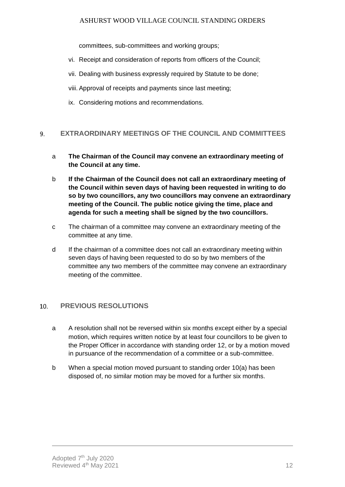committees, sub-committees and working groups;

- vi. Receipt and consideration of reports from officers of the Council;
- vii. Dealing with business expressly required by Statute to be done;
- viii. Approval of receipts and payments since last meeting;
- ix. Considering motions and recommendations.

#### <span id="page-11-0"></span>**EXTRAORDINARY MEETINGS OF THE COUNCIL AND COMMITTEES** 9.

- a **The Chairman of the Council may convene an extraordinary meeting of the Council at any time.**
- b **If the Chairman of the Council does not call an extraordinary meeting of the Council within seven days of having been requested in writing to do so by two councillors, any two councillors may convene an extraordinary meeting of the Council. The public notice giving the time, place and agenda for such a meeting shall be signed by the two councillors.**
- c The chairman of a committee may convene an extraordinary meeting of the committee at any time.
- d If the chairman of a committee does not call an extraordinary meeting within seven days of having been requested to do so by two members of the committee any two members of the committee may convene an extraordinary meeting of the committee.

#### <span id="page-11-1"></span>**PREVIOUS RESOLUTIONS**  $10.$

- a A resolution shall not be reversed within six months except either by a special motion, which requires written notice by at least four councillors to be given to the Proper Officer in accordance with standing order 12, or by a motion moved in pursuance of the recommendation of a committee or a sub-committee.
- b When a special motion moved pursuant to standing order 10(a) has been disposed of, no similar motion may be moved for a further six months.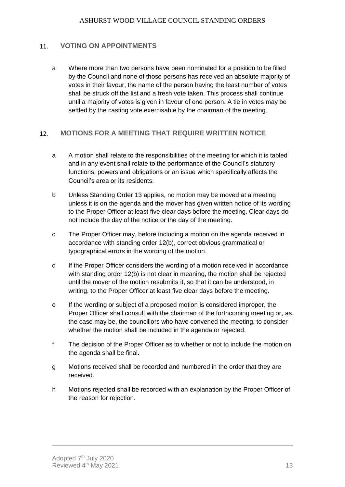#### <span id="page-12-0"></span>**VOTING ON APPOINTMENTS** 11.

a Where more than two persons have been nominated for a position to be filled by the Council and none of those persons has received an absolute majority of votes in their favour, the name of the person having the least number of votes shall be struck off the list and a fresh vote taken. This process shall continue until a majority of votes is given in favour of one person. A tie in votes may be settled by the casting vote exercisable by the chairman of the meeting.

#### <span id="page-12-1"></span>**MOTIONS FOR A MEETING THAT REQUIRE WRITTEN NOTICE**  12.

- a A motion shall relate to the responsibilities of the meeting for which it is tabled and in any event shall relate to the performance of the Council's statutory functions, powers and obligations or an issue which specifically affects the Council's area or its residents.
- b Unless Standing Order 13 applies, no motion may be moved at a meeting unless it is on the agenda and the mover has given written notice of its wording to the Proper Officer at least five clear days before the meeting. Clear days do not include the day of the notice or the day of the meeting.
- c The Proper Officer may, before including a motion on the agenda received in accordance with standing order 12(b), correct obvious grammatical or typographical errors in the wording of the motion.
- d If the Proper Officer considers the wording of a motion received in accordance with standing order 12(b) is not clear in meaning, the motion shall be rejected until the mover of the motion resubmits it, so that it can be understood, in writing, to the Proper Officer at least five clear days before the meeting.
- e If the wording or subject of a proposed motion is considered improper, the Proper Officer shall consult with the chairman of the forthcoming meeting or, as the case may be, the councillors who have convened the meeting, to consider whether the motion shall be included in the agenda or rejected.
- f The decision of the Proper Officer as to whether or not to include the motion on the agenda shall be final.
- g Motions received shall be recorded and numbered in the order that they are received.
- h Motions rejected shall be recorded with an explanation by the Proper Officer of the reason for rejection.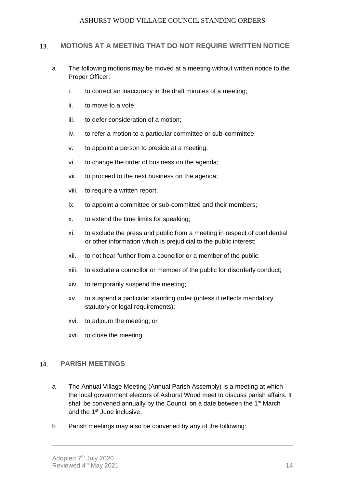#### <span id="page-13-0"></span>**MOTIONS AT A MEETING THAT DO NOT REQUIRE WRITTEN NOTICE** 13.

- a The following motions may be moved at a meeting without written notice to the Proper Officer:
	- i. to correct an inaccuracy in the draft minutes of a meeting;
	- ii. to move to a vote;
	- iii. to defer consideration of a motion;
	- iv. to refer a motion to a particular committee or sub-committee;
	- v. to appoint a person to preside at a meeting;
	- vi. to change the order of business on the agenda;
	- vii. to proceed to the next business on the agenda;
	- viii. to require a written report;
	- ix. to appoint a committee or sub-committee and their members;
	- x. to extend the time limits for speaking;
	- xi. to exclude the press and public from a meeting in respect of confidential or other information which is prejudicial to the public interest;
	- xii. to not hear further from a councillor or a member of the public;
	- xiii. to exclude a councillor or member of the public for disorderly conduct;
	- xiv. to temporarily suspend the meeting;
	- xv. to suspend a particular standing order (unless it reflects mandatory statutory or legal requirements);
	- xvi. to adjourn the meeting; or
	- xvii. to close the meeting.

#### <span id="page-13-1"></span> $14.$ **PARISH MEETINGS**

- a The Annual Village Meeting (Annual Parish Assembly) is a meeting at which the local government electors of Ashurst Wood meet to discuss parish affairs. It shall be convened annually by the Council on a date between the  $1<sup>st</sup>$  March and the 1<sup>st</sup> June inclusive.
- b Parish meetings may also be convened by any of the following: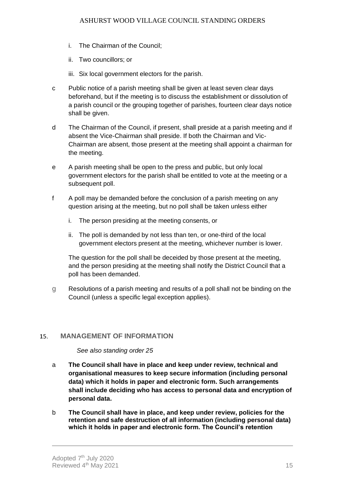- i. The Chairman of the Council;
- ii. Two councillors; or
- iii. Six local government electors for the parish.
- c Public notice of a parish meeting shall be given at least seven clear days beforehand, but if the meeting is to discuss the establishment or dissolution of a parish council or the grouping together of parishes, fourteen clear days notice shall be given.
- d The Chairman of the Council, if present, shall preside at a parish meeting and if absent the Vice-Chairman shall preside. If both the Chairman and Vic-Chairman are absent, those present at the meeting shall appoint a chairman for the meeting.
- e A parish meeting shall be open to the press and public, but only local government electors for the parish shall be entitled to vote at the meeting or a subsequent poll.
- f A poll may be demanded before the conclusion of a parish meeting on any question arising at the meeting, but no poll shall be taken unless either
	- i. The person presiding at the meeting consents, or
	- ii. The poll is demanded by not less than ten, or one-third of the local government electors present at the meeting, whichever number is lower.

The question for the poll shall be deceided by those present at the meeting, and the person presiding at the meeting shall notify the District Council that a poll has been demanded.

g Resolutions of a parish meeting and results of a poll shall not be binding on the Council (unless a specific legal exception applies).

#### <span id="page-14-0"></span>**MANAGEMENT OF INFORMATION** 15.

# *See also standing order 25*

- a **The Council shall have in place and keep under review, technical and organisational measures to keep secure information (including personal data) which it holds in paper and electronic form. Such arrangements shall include deciding who has access to personal data and encryption of personal data.**
- b **The Council shall have in place, and keep under review, policies for the retention and safe destruction of all information (including personal data) which it holds in paper and electronic form. The Council's retention**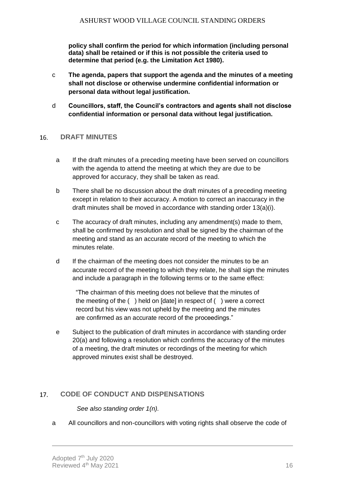**policy shall confirm the period for which information (including personal data) shall be retained or if this is not possible the criteria used to determine that period (e.g. the Limitation Act 1980).**

- c **The agenda, papers that support the agenda and the minutes of a meeting shall not disclose or otherwise undermine confidential information or personal data without legal justification.**
- d **Councillors, staff, the Council's contractors and agents shall not disclose confidential information or personal data without legal justification.**

#### <span id="page-15-0"></span>**DRAFT MINUTES** 16.

- a If the draft minutes of a preceding meeting have been served on councillors with the agenda to attend the meeting at which they are due to be approved for accuracy, they shall be taken as read.
- b There shall be no discussion about the draft minutes of a preceding meeting except in relation to their accuracy. A motion to correct an inaccuracy in the draft minutes shall be moved in accordance with standing order 13(a)(i).
- c The accuracy of draft minutes, including any amendment(s) made to them, shall be confirmed by resolution and shall be signed by the chairman of the meeting and stand as an accurate record of the meeting to which the minutes relate.
- d If the chairman of the meeting does not consider the minutes to be an accurate record of the meeting to which they relate, he shall sign the minutes and include a paragraph in the following terms or to the same effect:

"The chairman of this meeting does not believe that the minutes of the meeting of the ( ) held on [date] in respect of ( ) were a correct record but his view was not upheld by the meeting and the minutes are confirmed as an accurate record of the proceedings."

e Subject to the publication of draft minutes in accordance with standing order 20(a) and following a resolution which confirms the accuracy of the minutes of a meeting, the draft minutes or recordings of the meeting for which approved minutes exist shall be destroyed.

#### <span id="page-15-1"></span>**CODE OF CONDUCT AND DISPENSATIONS** 17.

*See also standing order 1(n).*

a All councillors and non-councillors with voting rights shall observe the code of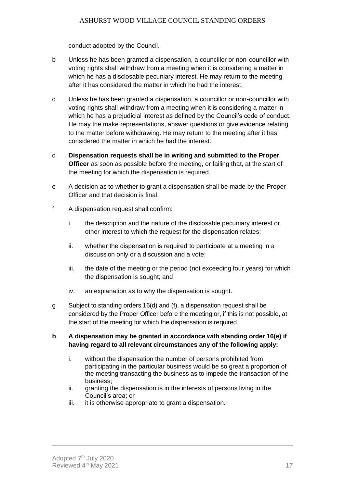conduct adopted by the Council.

- b Unless he has been granted a dispensation, a councillor or non-councillor with voting rights shall withdraw from a meeting when it is considering a matter in which he has a disclosable pecuniary interest. He may return to the meeting after it has considered the matter in which he had the interest.
- c Unless he has been granted a dispensation, a councillor or non-councillor with voting rights shall withdraw from a meeting when it is considering a matter in which he has a prejudicial interest as defined by the Council's code of conduct. He may the make representations, answer questions or give evidence relating to the matter before withdrawing. He may return to the meeting after it has considered the matter in which he had the interest.
- d **Dispensation requests shall be in writing and submitted to the Proper Officer** as soon as possible before the meeting, or failing that, at the start of the meeting for which the dispensation is required.
- e A decision as to whether to grant a dispensation shall be made by the Proper Officer and that decision is final.
- f A dispensation request shall confirm:
	- i. the description and the nature of the disclosable pecuniary interest or other interest to which the request for the dispensation relates;
	- ii. whether the dispensation is required to participate at a meeting in a discussion only or a discussion and a vote;
	- iii. the date of the meeting or the period (not exceeding four years) for which the dispensation is sought; and
	- iv. an explanation as to why the dispensation is sought.
- g Subject to standing orders 16(d) and (f), a dispensation request shall be considered by the Proper Officer before the meeting or, if this is not possible, at the start of the meeting for which the dispensation is required.

# **h A dispensation may be granted in accordance with standing order 16(e) if having regard to all relevant circumstances any of the following apply:**

- i. without the dispensation the number of persons prohibited from participating in the particular business would be so great a proportion of the meeting transacting the business as to impede the transaction of the business;
- ii. granting the dispensation is in the interests of persons living in the Council's area; or
- iii. it is otherwise appropriate to grant a dispensation.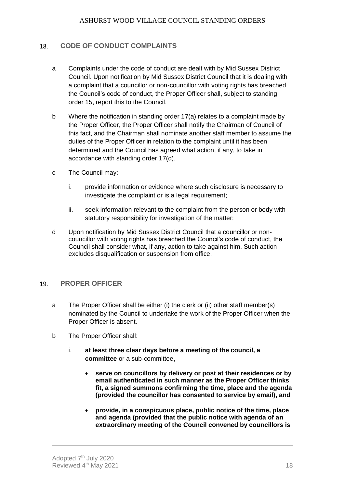#### <span id="page-17-0"></span>**CODE OF CONDUCT COMPLAINTS** 18.

- a Complaints under the code of conduct are dealt with by Mid Sussex District Council. Upon notification by Mid Sussex District Council that it is dealing with a complaint that a councillor or non-councillor with voting rights has breached the Council's code of conduct, the Proper Officer shall, subject to standing order 15, report this to the Council.
- b Where the notification in standing order 17(a) relates to a complaint made by the Proper Officer, the Proper Officer shall notify the Chairman of Council of this fact, and the Chairman shall nominate another staff member to assume the duties of the Proper Officer in relation to the complaint until it has been determined and the Council has agreed what action, if any, to take in accordance with standing order 17(d).
- c The Council may:
	- i. provide information or evidence where such disclosure is necessary to investigate the complaint or is a legal requirement:
	- ii. seek information relevant to the complaint from the person or body with statutory responsibility for investigation of the matter;
- d Upon notification by Mid Sussex District Council that a councillor or noncouncillor with voting rights has breached the Council's code of conduct, the Council shall consider what, if any, action to take against him. Such action excludes disqualification or suspension from office.

#### <span id="page-17-1"></span>**PROPER OFFICER** 19.

- a The Proper Officer shall be either (i) the clerk or (ii) other staff member(s) nominated by the Council to undertake the work of the Proper Officer when the Proper Officer is absent.
- b The Proper Officer shall:
	- i. **at least three clear days before a meeting of the council, a committee** or a sub-committee**,**
		- **serve on councillors by delivery or post at their residences or by email authenticated in such manner as the Proper Officer thinks fit, a signed summons confirming the time, place and the agenda (provided the councillor has consented to service by email), and**
		- **provide, in a conspicuous place, public notice of the time, place and agenda (provided that the public notice with agenda of an extraordinary meeting of the Council convened by councillors is**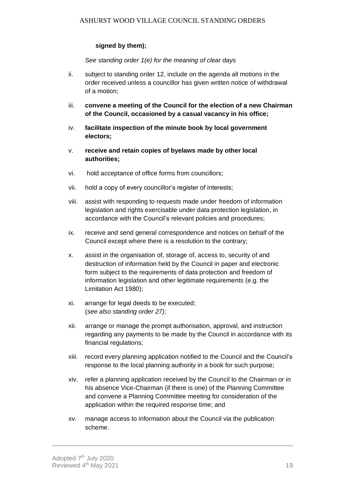# **signed by them);**

*See standing order 1(e) for the meaning of clear days*

- ii. subject to standing order 12, include on the agenda all motions in the order received unless a councillor has given written notice of withdrawal of a motion;
- iii. **convene a meeting of the Council for the election of a new Chairman of the Council, occasioned by a casual vacancy in his office;**
- iv. **facilitate inspection of the minute book by local government electors;**
- v. **receive and retain copies of byelaws made by other local authorities;**
- vi. hold acceptance of office forms from councillors;
- vii. hold a copy of every councillor's register of interests;
- viii. assist with responding to requests made under freedom of information legislation and rights exercisable under data protection legislation, in accordance with the Council's relevant policies and procedures;
- ix. receive and send general correspondence and notices on behalf of the Council except where there is a resolution to the contrary;
- x. assist in the organisation of, storage of, access to, security of and destruction of information held by the Council in paper and electronic form subject to the requirements of data protection and freedom of information legislation and other legitimate requirements (e.g. the Limitation Act 1980);
- xi. arrange for legal deeds to be executed; (*see also standing order 27);*
- xii. arrange or manage the prompt authorisation, approval, and instruction regarding any payments to be made by the Council in accordance with its financial regulations;
- xiii. record every planning application notified to the Council and the Council's response to the local planning authority in a book for such purpose;
- xiv. refer a planning application received by the Council to the Chairman or in his absence Vice-Chairman (if there is one) of the Planning Committee and convene a Planning Committee meeting for consideration of the application within the required response time; and
- xv. manage access to information about the Council via the publication scheme.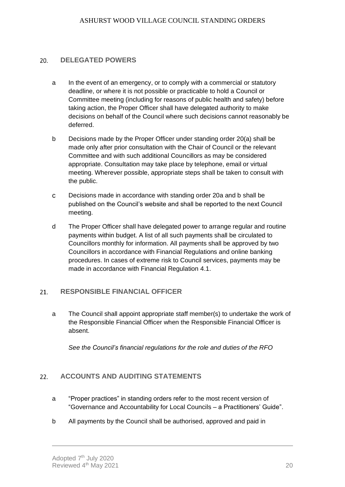#### 20. **DELEGATED POWERS**

- a In the event of an emergency, or to comply with a commercial or statutory deadline, or where it is not possible or practicable to hold a Council or Committee meeting (including for reasons of public health and safety) before taking action, the Proper Officer shall have delegated authority to make decisions on behalf of the Council where such decisions cannot reasonably be deferred.
- b Decisions made by the Proper Officer under standing order 20(a) shall be made only after prior consultation with the Chair of Council or the relevant Committee and with such additional Councillors as may be considered appropriate. Consultation may take place by telephone, email or virtual meeting. Wherever possible, appropriate steps shall be taken to consult with the public.
- c Decisions made in accordance with standing order 20a and b shall be published on the Council's website and shall be reported to the next Council meeting.
- d The Proper Officer shall have delegated power to arrange regular and routine payments within budget. A list of all such payments shall be circulated to Councillors monthly for information. All payments shall be approved by two Councillors in accordance with Financial Regulations and online banking procedures. In cases of extreme risk to Council services, payments may be made in accordance with Financial Regulation 4.1.

#### <span id="page-19-0"></span>**RESPONSIBLE FINANCIAL OFFICER**  $21.$

a The Council shall appoint appropriate staff member(s) to undertake the work of the Responsible Financial Officer when the Responsible Financial Officer is absent.

*See the Council's financial regulations for the role and duties of the RFO*

#### <span id="page-19-1"></span> $22.$ **ACCOUNTS AND AUDITING STATEMENTS**

- a "Proper practices" in standing orders refer to the most recent version of "Governance and Accountability for Local Councils – a Practitioners' Guide".
- b All payments by the Council shall be authorised, approved and paid in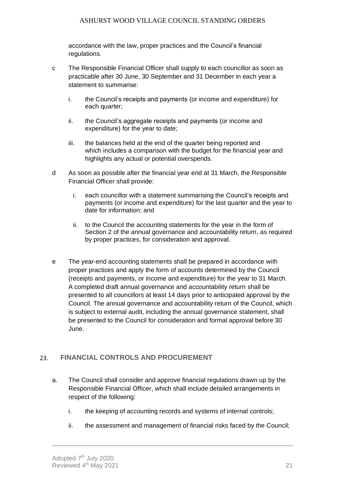accordance with the law, proper practices and the Council's financial regulations.

- c The Responsible Financial Officer shall supply to each councillor as soon as practicable after 30 June, 30 September and 31 December in each year a statement to summarise:
	- i. the Council's receipts and payments (or income and expenditure) for each quarter;
	- ii. the Council's aggregate receipts and payments (or income and expenditure) for the year to date;
	- iii. the balances held at the end of the quarter being reported and which includes a comparison with the budget for the financial year and highlights any actual or potential overspends.
- d As soon as possible after the financial year end at 31 March, the Responsible Financial Officer shall provide:
	- i. each councillor with a statement summarising the Council's receipts and payments (or income and expenditure) for the last quarter and the year to date for information; and
	- ii. to the Council the accounting statements for the year in the form of Section 2 of the annual governance and accountability return, as required by proper practices, for consideration and approval.
- e The year-end accounting statements shall be prepared in accordance with proper practices and apply the form of accounts determined by the Council (receipts and payments, or income and expenditure) for the year to 31 March. A completed draft annual governance and accountability return shall be presented to all councillors at least 14 days prior to anticipated approval by the Council. The annual governance and accountability return of the Council, which is subject to external audit, including the annual governance statement, shall be presented to the Council for consideration and formal approval before 30 June.

#### <span id="page-20-0"></span>23. **FINANCIAL CONTROLS AND PROCUREMENT**

- a. The Council shall consider and approve financial regulations drawn up by the Responsible Financial Officer, which shall include detailed arrangements in respect of the following:
	- i. the keeping of accounting records and systems of internal controls;
	- ii. the assessment and management of financial risks faced by the Council;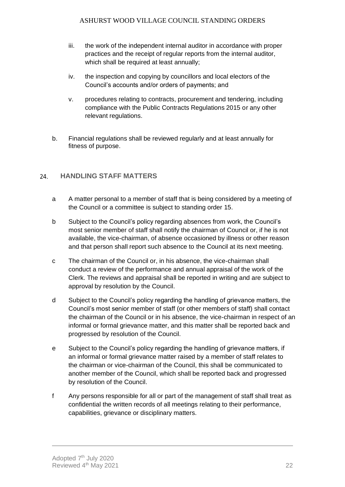- iii. the work of the independent internal auditor in accordance with proper practices and the receipt of regular reports from the internal auditor, which shall be required at least annually;
- iv. the inspection and copying by councillors and local electors of the Council's accounts and/or orders of payments; and
- v. procedures relating to contracts, procurement and tendering, including compliance with the Public Contracts Regulations 2015 or any other relevant regulations.
- b. Financial regulations shall be reviewed regularly and at least annually for fitness of purpose.

#### <span id="page-21-0"></span>**HANDLING STAFF MATTERS** 24.

- a A matter personal to a member of staff that is being considered by a meeting of the Council or a committee is subject to standing order 15.
- b Subject to the Council's policy regarding absences from work, the Council's most senior member of staff shall notify the chairman of Council or, if he is not available, the vice-chairman, of absence occasioned by illness or other reason and that person shall report such absence to the Council at its next meeting.
- c The chairman of the Council or, in his absence, the vice-chairman shall conduct a review of the performance and annual appraisal of the work of the Clerk. The reviews and appraisal shall be reported in writing and are subject to approval by resolution by the Council.
- d Subject to the Council's policy regarding the handling of grievance matters, the Council's most senior member of staff (or other members of staff) shall contact the chairman of the Council or in his absence, the vice-chairman in respect of an informal or formal grievance matter, and this matter shall be reported back and progressed by resolution of the Council.
- e Subject to the Council's policy regarding the handling of grievance matters, if an informal or formal grievance matter raised by a member of staff relates to the chairman or vice-chairman of the Council, this shall be communicated to another member of the Council, which shall be reported back and progressed by resolution of the Council.
- f Any persons responsible for all or part of the management of staff shall treat as confidential the written records of all meetings relating to their performance, capabilities, grievance or disciplinary matters.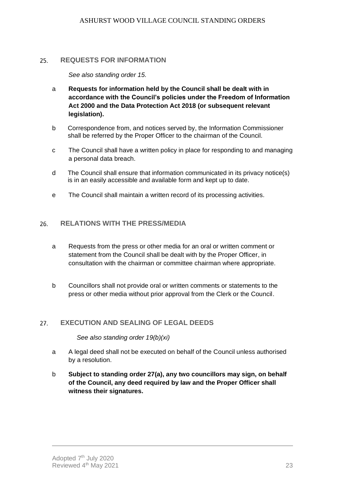#### <span id="page-22-0"></span>25. **REQUESTS FOR INFORMATION**

*See also standing order 15.*

- a **Requests for information held by the Council shall be dealt with in accordance with the Council's policies under the Freedom of Information Act 2000 and the Data Protection Act 2018 (or subsequent relevant legislation).**
- b Correspondence from, and notices served by, the Information Commissioner shall be referred by the Proper Officer to the chairman of the Council.
- c The Council shall have a written policy in place for responding to and managing a personal data breach.
- d The Council shall ensure that information communicated in its privacy notice(s) is in an easily accessible and available form and kept up to date.
- e The Council shall maintain a written record of its processing activities.

#### <span id="page-22-1"></span>**RELATIONS WITH THE PRESS/MEDIA** 26.

- a Requests from the press or other media for an oral or written comment or statement from the Council shall be dealt with by the Proper Officer, in consultation with the chairman or committee chairman where appropriate.
- b Councillors shall not provide oral or written comments or statements to the press or other media without prior approval from the Clerk or the Council.

#### <span id="page-22-2"></span>**EXECUTION AND SEALING OF LEGAL DEEDS** 27.

*See also standing order 19(b)(xi)* 

- a A legal deed shall not be executed on behalf of the Council unless authorised by a resolution.
- b **Subject to standing order 27(a), any two councillors may sign, on behalf of the Council, any deed required by law and the Proper Officer shall witness their signatures.**